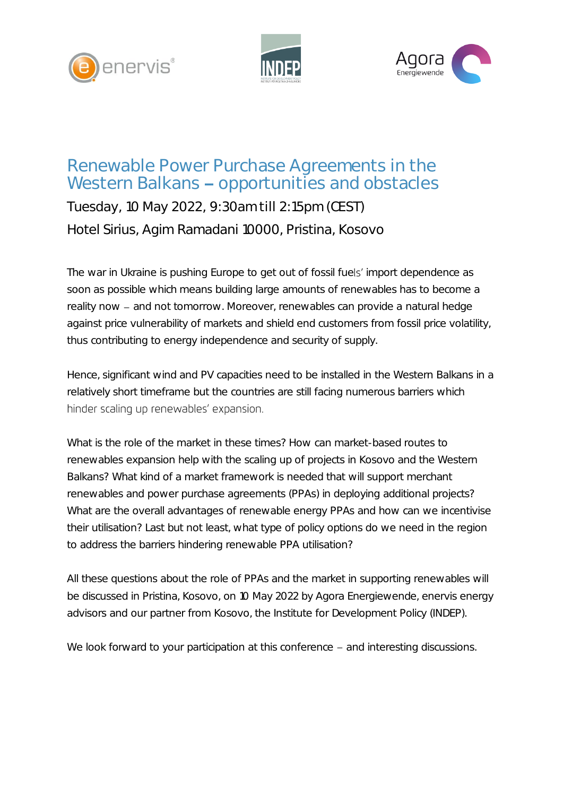





## Renewable Power Purchase Agreements in the Western Balkans - opportunities and obstacles

Tuesday, 10 May 2022, 9:30am till 2:15pm (CEST) Hotel Sirius, Agim Ramadani 10000, Pristina, Kosovo

The war in Ukraine is pushing Europe to get out of fossil fuels' import dependence as soon as possible which means building large amounts of renewables has to become a reality now - and not tomorrow. Moreover, renewables can provide a natural hedge against price vulnerability of markets and shield end customers from fossil price volatility, thus contributing to energy independence and security of supply.

Hence, significant wind and PV capacities need to be installed in the Western Balkans in a relatively short timeframe but the countries are still facing numerous barriers which hinder scaling up renewables' expansion.

What is the role of the market in these times? How can market-based routes to renewables expansion help with the scaling up of projects in Kosovo and the Western Balkans? What kind of a market framework is needed that will support merchant renewables and power purchase agreements (PPAs) in deploying additional projects? What are the overall advantages of renewable energy PPAs and how can we incentivise their utilisation? Last but not least, what type of policy options do we need in the region to address the barriers hindering renewable PPA utilisation?

All these questions about the role of PPAs and the market in supporting renewables will be discussed in Pristina, Kosovo, on 10 May 2022 by Agora Energiewende, enervis energy advisors and our partner from Kosovo, the Institute for Development Policy (INDEP).

We look forward to your participation at this conference – and interesting discussions.